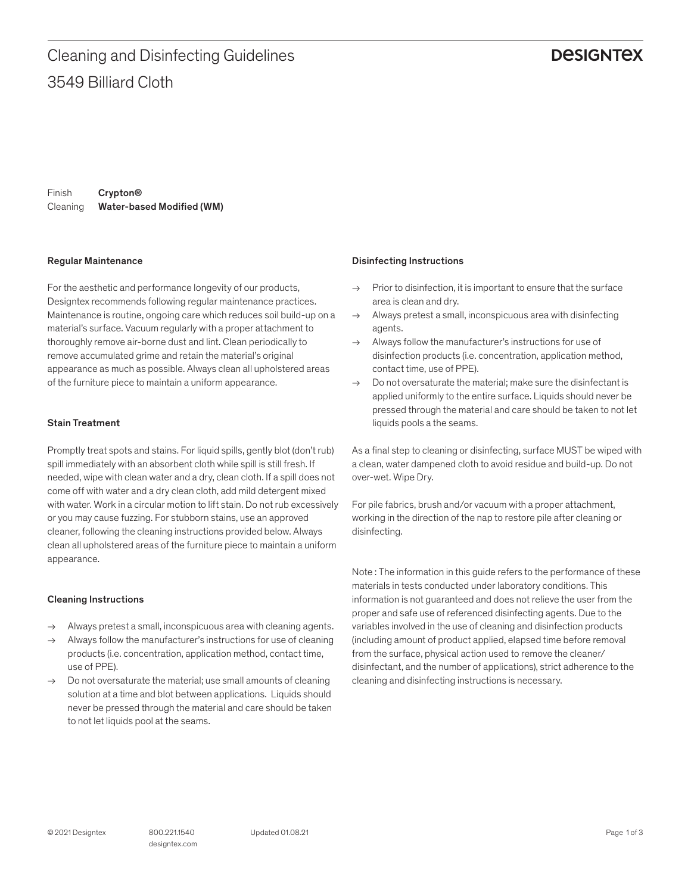## **DESIGNTEX**

Finish Cleaning Water-based Modified (WM) Crypton®

#### Regular Maintenance

For the aesthetic and performance longevity of our products, Designtex recommends following regular maintenance practices. Maintenance is routine, ongoing care which reduces soil build-up on a material's surface. Vacuum regularly with a proper attachment to thoroughly remove air-borne dust and lint. Clean periodically to remove accumulated grime and retain the material's original appearance as much as possible. Always clean all upholstered areas of the furniture piece to maintain a uniform appearance.

### Stain Treatment

Promptly treat spots and stains. For liquid spills, gently blot (don't rub) spill immediately with an absorbent cloth while spill is still fresh. If needed, wipe with clean water and a dry, clean cloth. If a spill does not come off with water and a dry clean cloth, add mild detergent mixed with water. Work in a circular motion to lift stain. Do not rub excessively or you may cause fuzzing. For stubborn stains, use an approved cleaner, following the cleaning instructions provided below. Always clean all upholstered areas of the furniture piece to maintain a uniform appearance.

### Cleaning Instructions

- → Always pretest a small, inconspicuous area with cleaning agents.
- Always follow the manufacturer's instructions for use of cleaning products (i.e. concentration, application method, contact time, use of PPE).
- $\rightarrow$  Do not oversaturate the material; use small amounts of cleaning solution at a time and blot between applications. Liquids should never be pressed through the material and care should be taken to not let liquids pool at the seams.

### Disinfecting Instructions

- $\rightarrow$  Prior to disinfection, it is important to ensure that the surface area is clean and dry.
- $\rightarrow$  Always pretest a small, inconspicuous area with disinfecting agents.
- $\rightarrow$  Always follow the manufacturer's instructions for use of disinfection products (i.e. concentration, application method, contact time, use of PPE).
- $\rightarrow$  Do not oversaturate the material: make sure the disinfectant is applied uniformly to the entire surface. Liquids should never be pressed through the material and care should be taken to not let liquids pools a the seams.

As a final step to cleaning or disinfecting, surface MUST be wiped with a clean, water dampened cloth to avoid residue and build-up. Do not over-wet. Wipe Dry.

For pile fabrics, brush and/or vacuum with a proper attachment, working in the direction of the nap to restore pile after cleaning or disinfecting.

Note : The information in this guide refers to the performance of these materials in tests conducted under laboratory conditions. This information is not guaranteed and does not relieve the user from the proper and safe use of referenced disinfecting agents. Due to the variables involved in the use of cleaning and disinfection products (including amount of product applied, elapsed time before removal from the surface, physical action used to remove the cleaner/ disinfectant, and the number of applications), strict adherence to the cleaning and disinfecting instructions is necessary.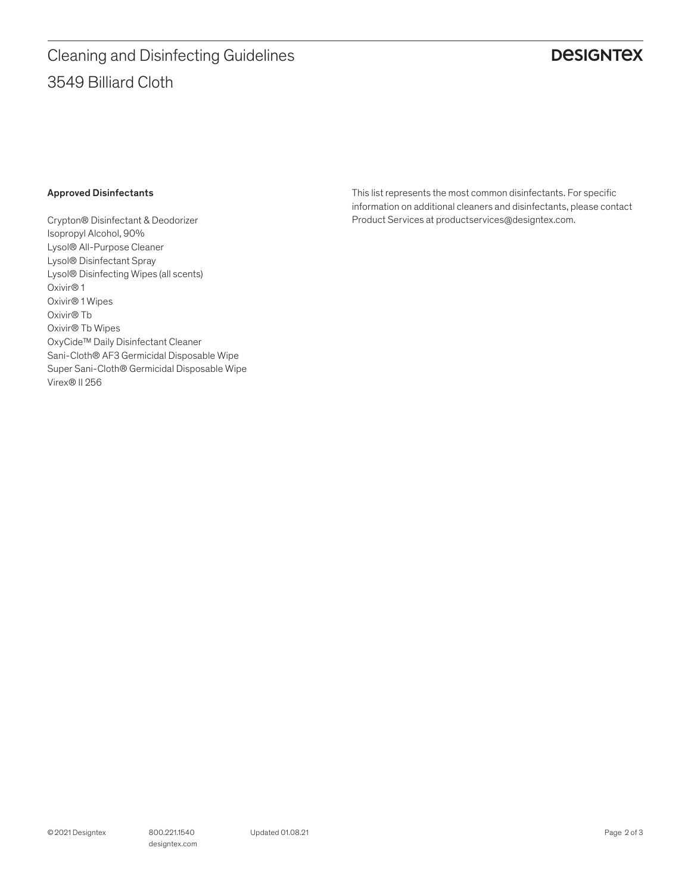# 3549 Billiard Cloth Cleaning and Disinfecting Guidelines

# **DESIGNTEX**

### Approved Disinfectants

Crypton® Disinfectant & Deodorizer Isopropyl Alcohol, 90% Lysol® All-Purpose Cleaner Lysol® Disinfectant Spray Lysol® Disinfecting Wipes (all scents) Oxivir® 1 Oxivir® 1 Wipes Oxivir® Tb Oxivir® Tb Wipes OxyCide™ Daily Disinfectant Cleaner Sani-Cloth® AF3 Germicidal Disposable Wipe Super Sani-Cloth® Germicidal Disposable Wipe Virex® II 256

This list represents the most common disinfectants. For specific information on additional cleaners and disinfectants, please contact Product Services at productservices@designtex.com.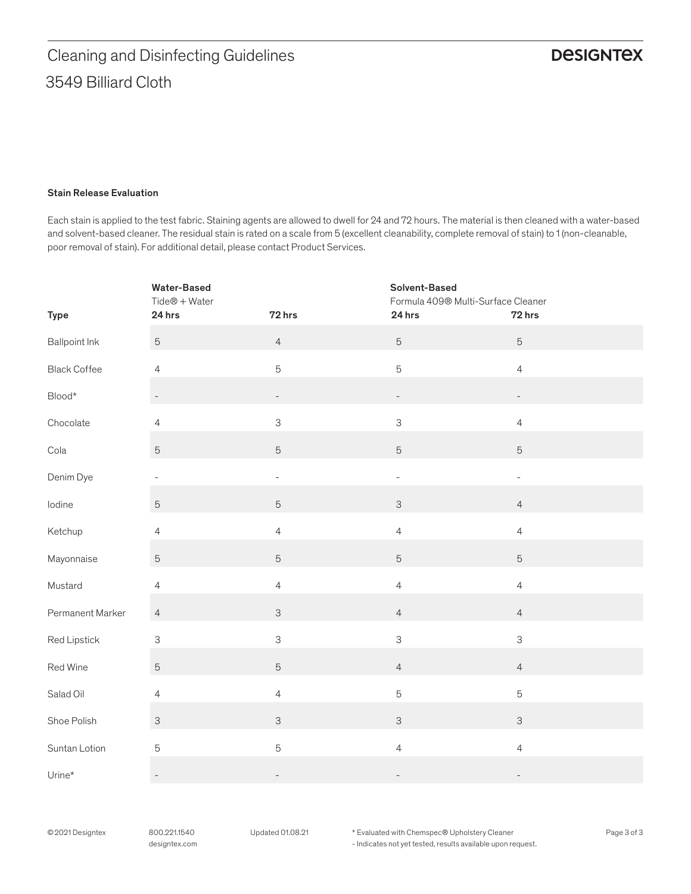### Stain Release Evaluation

Each stain is applied to the test fabric. Staining agents are allowed to dwell for 24 and 72 hours. The material is then cleaned with a water-based and solvent-based cleaner. The residual stain is rated on a scale from 5 (excellent cleanability, complete removal of stain) to 1 (non-cleanable, poor removal of stain). For additional detail, please contact Product Services.

|                          | <b>Water-Based</b><br>$Tide@ + Water$ |                          | Solvent-Based<br>Formula 409® Multi-Surface Cleaner |                          |
|--------------------------|---------------------------------------|--------------------------|-----------------------------------------------------|--------------------------|
| <b>Type</b>              | 24 hrs                                | 72 hrs                   | 24 hrs                                              | 72 hrs                   |
| <b>Ballpoint Ink</b>     | $\mathbf 5$                           | $\overline{4}$           | $\mathbf 5$                                         | $\overline{5}$           |
| <b>Black Coffee</b>      | $\overline{4}$                        | 5                        | 5                                                   | $\overline{4}$           |
| $\mathsf{Blood}^{\star}$ | $\overline{\phantom{0}}$              | $\overline{\phantom{a}}$ | $\overline{\phantom{0}}$                            | $\overline{\phantom{a}}$ |
| Chocolate                | $\overline{4}$                        | $\mathsf 3$              | $\mathsf 3$                                         | $\overline{4}$           |
| Cola                     | $\mathbf 5$                           | $\sqrt{5}$               | 5                                                   | $\mathbf 5$              |
| Denim Dye                | $\overline{\phantom{a}}$              | $\qquad \qquad -$        | $\overline{\phantom{0}}$                            | $\overline{\phantom{0}}$ |
| lodine                   | $\mathbf 5$                           | $\mathbf 5$              | $\ensuremath{\mathsf{3}}$                           | $\overline{4}$           |
| Ketchup                  | $\overline{4}$                        | $\overline{4}$           | $\overline{4}$                                      | $\overline{4}$           |
| Mayonnaise               | $\mathbf 5$                           | $\overline{5}$           | 5                                                   | $\overline{5}$           |
| Mustard                  | $\overline{4}$                        | $\overline{4}$           | $\overline{4}$                                      | $\overline{4}$           |
| Permanent Marker         | $\overline{4}$                        | $\mathsf{3}$             | $\overline{4}$                                      | $\overline{4}$           |
| Red Lipstick             | $\ensuremath{\mathsf{3}}$             | 3                        | $\mathsf 3$                                         | 3                        |
| Red Wine                 | $\mathbf 5$                           | $\overline{5}$           | $\overline{4}$                                      | $\overline{4}$           |
| Salad Oil                | $\overline{4}$                        | $\overline{4}$           | 5                                                   | $\mathbf 5$              |
| Shoe Polish              | $\ensuremath{\mathsf{3}}$             | $\mathsf{3}$             | $\ensuremath{\mathsf{3}}$                           | $\mathsf{3}$             |
| Suntan Lotion            | $\mathbf 5$                           | 5                        | $\overline{4}$                                      | $\overline{4}$           |
| Urine*                   | $\overline{\phantom{a}}$              |                          |                                                     | $\overline{\phantom{0}}$ |

©2021 Designtex 800.221.1540 Updated 01.08.21 Page 3 of 3 \* Evaluated with Chemspec® Upholstery Cleaner - Indicates not yet tested, results available upon request.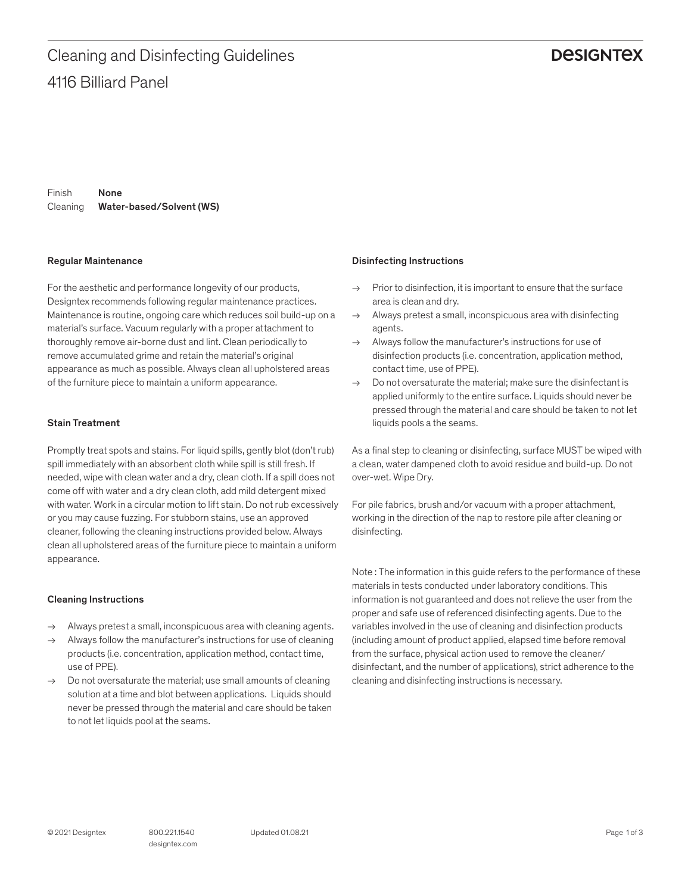## **DESIGNTEX**

Finish Cleaning Water-based/Solvent (WS) None

### Regular Maintenance

For the aesthetic and performance longevity of our products, Designtex recommends following regular maintenance practices. Maintenance is routine, ongoing care which reduces soil build-up on a material's surface. Vacuum regularly with a proper attachment to thoroughly remove air-borne dust and lint. Clean periodically to remove accumulated grime and retain the material's original appearance as much as possible. Always clean all upholstered areas of the furniture piece to maintain a uniform appearance.

### Stain Treatment

Promptly treat spots and stains. For liquid spills, gently blot (don't rub) spill immediately with an absorbent cloth while spill is still fresh. If needed, wipe with clean water and a dry, clean cloth. If a spill does not come off with water and a dry clean cloth, add mild detergent mixed with water. Work in a circular motion to lift stain. Do not rub excessively or you may cause fuzzing. For stubborn stains, use an approved cleaner, following the cleaning instructions provided below. Always clean all upholstered areas of the furniture piece to maintain a uniform appearance.

### Cleaning Instructions

- → Always pretest a small, inconspicuous area with cleaning agents.
- Always follow the manufacturer's instructions for use of cleaning products (i.e. concentration, application method, contact time, use of PPE).
- $\rightarrow$  Do not oversaturate the material; use small amounts of cleaning solution at a time and blot between applications. Liquids should never be pressed through the material and care should be taken to not let liquids pool at the seams.

### Disinfecting Instructions

- $\rightarrow$  Prior to disinfection, it is important to ensure that the surface area is clean and dry.
- $\rightarrow$  Always pretest a small, inconspicuous area with disinfecting agents.
- $\rightarrow$  Always follow the manufacturer's instructions for use of disinfection products (i.e. concentration, application method, contact time, use of PPE).
- $\rightarrow$  Do not oversaturate the material: make sure the disinfectant is applied uniformly to the entire surface. Liquids should never be pressed through the material and care should be taken to not let liquids pools a the seams.

As a final step to cleaning or disinfecting, surface MUST be wiped with a clean, water dampened cloth to avoid residue and build-up. Do not over-wet. Wipe Dry.

For pile fabrics, brush and/or vacuum with a proper attachment, working in the direction of the nap to restore pile after cleaning or disinfecting.

Note : The information in this guide refers to the performance of these materials in tests conducted under laboratory conditions. This information is not guaranteed and does not relieve the user from the proper and safe use of referenced disinfecting agents. Due to the variables involved in the use of cleaning and disinfection products (including amount of product applied, elapsed time before removal from the surface, physical action used to remove the cleaner/ disinfectant, and the number of applications), strict adherence to the cleaning and disinfecting instructions is necessary.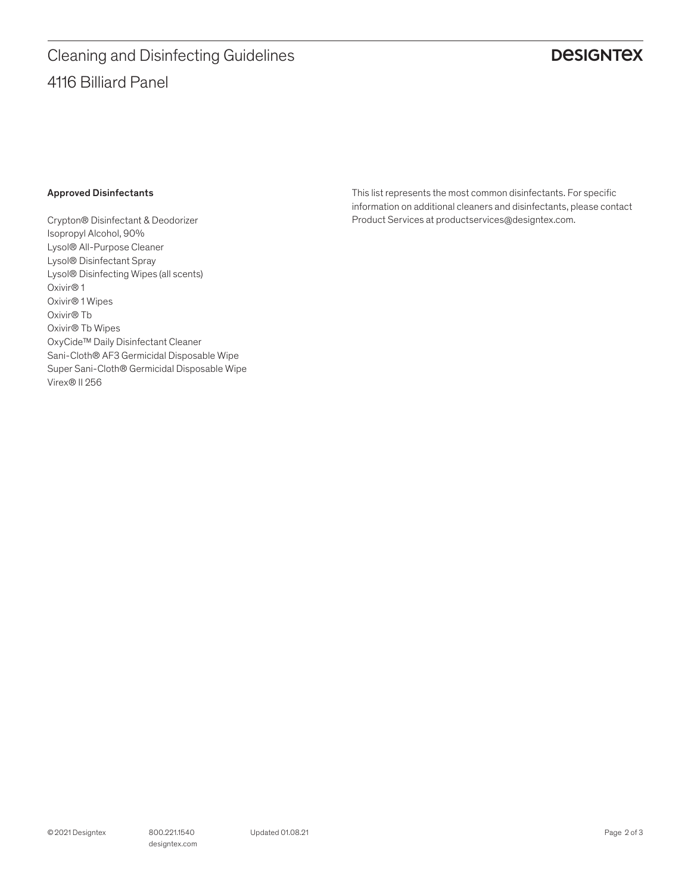# 4116 Billiard Panel Cleaning and Disinfecting Guidelines

# **DESIGNTEX**

### Approved Disinfectants

Crypton® Disinfectant & Deodorizer Isopropyl Alcohol, 90% Lysol® All-Purpose Cleaner Lysol® Disinfectant Spray Lysol® Disinfecting Wipes (all scents) Oxivir® 1 Oxivir® 1 Wipes Oxivir® Tb Oxivir® Tb Wipes OxyCide™ Daily Disinfectant Cleaner Sani-Cloth® AF3 Germicidal Disposable Wipe Super Sani-Cloth® Germicidal Disposable Wipe Virex® II 256

This list represents the most common disinfectants. For specific information on additional cleaners and disinfectants, please contact Product Services at productservices@designtex.com.